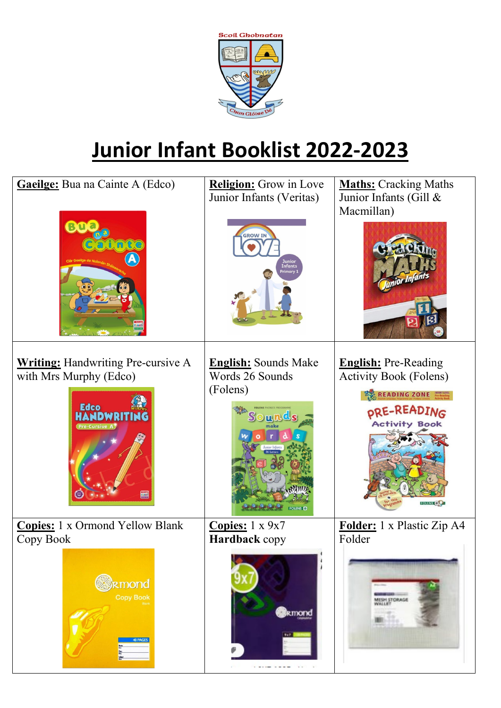

## **Junior Infant Booklist 2022-2023**

| nte<br><b>Writing:</b> Handwriting Pre-cursive A                                             | <b>GROW IN</b><br><b>Junior</b><br>Infants<br>Primary<br><b>English:</b> Sounds Make                 | Macmillan)<br><b>English:</b> Pre-Reading                                                                                       |
|----------------------------------------------------------------------------------------------|------------------------------------------------------------------------------------------------------|---------------------------------------------------------------------------------------------------------------------------------|
| with Mrs Murphy (Edco)<br><b>Edco</b><br><b>Pre-Cursive A</b>                                | Words 26 Sounds<br>(Folens)                                                                          | <b>Activity Book (Folens)</b><br><b>READING ZONE <i>Pre-Reading</i></b><br>DRE-READING<br><b>Activity Book</b><br><b>FOLENS</b> |
| Copies: 1 x Ormond Yellow Blank<br>Copy Book<br><b>emond</b><br><b>Copy Book</b><br>40 PAGES | Copies: $1 \times 9x7$<br>Hardback copy<br>kmond<br>Salt.<br>a construction of the content<br>$\sim$ | Folder: 1 x Plastic Zip A4<br>Folder<br>MESH STORAGE<br>WALLET                                                                  |